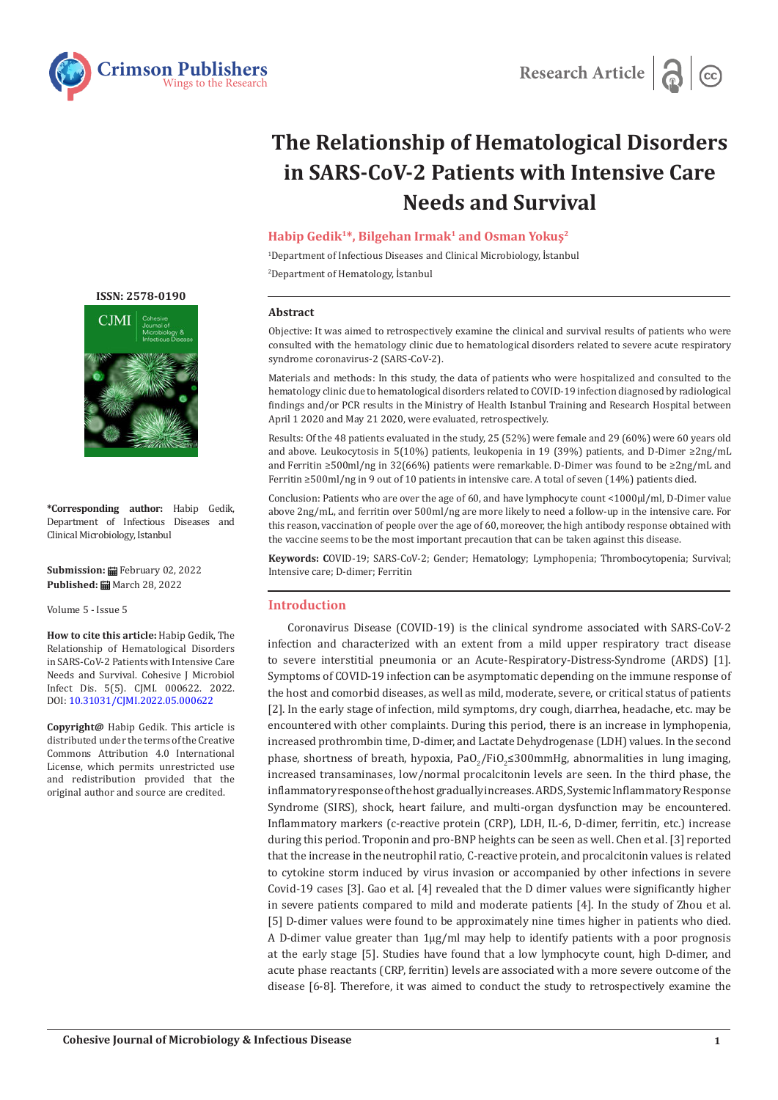



# **The Relationship of Hematological Disorders in SARS-CoV-2 Patients with Intensive Care Needs and Survival**

# **Habip Gedik1\*, Bilgehan Irmak1 and Osman Yokuş<sup>2</sup>**

1 Department of Infectious Diseases and Clinical Microbiology, İstanbul 2 Department of Hematology, İstanbul

#### **Abstract**

Objective: It was aimed to retrospectively examine the clinical and survival results of patients who were consulted with the hematology clinic due to hematological disorders related to severe acute respiratory syndrome coronavirus-2 (SARS-CoV-2).

Materials and methods: In this study, the data of patients who were hospitalized and consulted to the hematology clinic due to hematological disorders related to COVID-19 infection diagnosed by radiological findings and/or PCR results in the Ministry of Health Istanbul Training and Research Hospital between April 1 2020 and May 21 2020, were evaluated, retrospectively.

Results: Of the 48 patients evaluated in the study, 25 (52%) were female and 29 (60%) were 60 years old and above. Leukocytosis in 5(10%) patients, leukopenia in 19 (39%) patients, and D-Dimer ≥2ng/mL and Ferritin ≥500ml/ng in 32(66%) patients were remarkable. D-Dimer was found to be ≥2ng/mL and Ferritin ≥500ml/ng in 9 out of 10 patients in intensive care. A total of seven (14%) patients died.

Conclusion: Patients who are over the age of 60, and have lymphocyte count <1000µl/ml, D-Dimer value above 2ng/mL, and ferritin over 500ml/ng are more likely to need a follow-up in the intensive care. For this reason, vaccination of people over the age of 60, moreover, the high antibody response obtained with the vaccine seems to be the most important precaution that can be taken against this disease.

**Keywords: C**OVID-19; SARS-CoV-2; Gender; Hematology; Lymphopenia; Thrombocytopenia; Survival; Intensive care; D-dimer; Ferritin

### **Introduction**

Coronavirus Disease (COVID-19) is the clinical syndrome associated with SARS-CoV-2 infection and characterized with an extent from a mild upper respiratory tract disease to severe interstitial pneumonia or an Acute-Respiratory-Distress-Syndrome (ARDS) [1]. Symptoms of COVID-19 infection can be asymptomatic depending on the immune response of the host and comorbid diseases, as well as mild, moderate, severe, or critical status of patients [2]. In the early stage of infection, mild symptoms, dry cough, diarrhea, headache, etc. may be encountered with other complaints. During this period, there is an increase in lymphopenia, increased prothrombin time, D-dimer, and Lactate Dehydrogenase (LDH) values. In the second phase, shortness of breath, hypoxia, Pa $O_2/FiO_2 \leq 300$ mmHg, abnormalities in lung imaging, increased transaminases, low/normal procalcitonin levels are seen. In the third phase, the inflammatory response of the host gradually increases. ARDS, Systemic Inflammatory Response Syndrome (SIRS), shock, heart failure, and multi-organ dysfunction may be encountered. Inflammatory markers (c-reactive protein (CRP), LDH, IL-6, D-dimer, ferritin, etc.) increase during this period. Troponin and pro-BNP heights can be seen as well. Chen et al. [3] reported that the increase in the neutrophil ratio, C-reactive protein, and procalcitonin values is related to cytokine storm induced by virus invasion or accompanied by other infections in severe Covid-19 cases [3]. Gao et al. [4] revealed that the D dimer values were significantly higher in severe patients compared to mild and moderate patients [4]. In the study of Zhou et al. [5] D-dimer values were found to be approximately nine times higher in patients who died. A D-dimer value greater than 1µg/ml may help to identify patients with a poor prognosis at the early stage [5]. Studies have found that a low lymphocyte count, high D-dimer, and acute phase reactants (CRP, ferritin) levels are associated with a more severe outcome of the disease [6-8]. Therefore, it was aimed to conduct the study to retrospectively examine the





**\*Corresponding author:** Habip Gedik, Department of Infectious Diseases and Clinical Microbiology, Istanbul

**Submission:** February 02, 2022 **Published:** March 28, 2022

Volume 5 - Issue 5

**How to cite this article:** Habip Gedik, The Relationship of Hematological Disorders in SARS-CoV-2 Patients with Intensive Care Needs and Survival. Cohesive J Microbiol Infect Dis. 5(5). CJMI. 000622. 2022. DOI: [10.31031/CJMI.2022.05.00062](http://dx.doi.org/10.31031/CJMI.2022.05.000622)2

**Copyright@** Habip Gedik. This article is distributed under the terms of the Creative Commons Attribution 4.0 International License, which permits unrestricted use and redistribution provided that the original author and source are credited.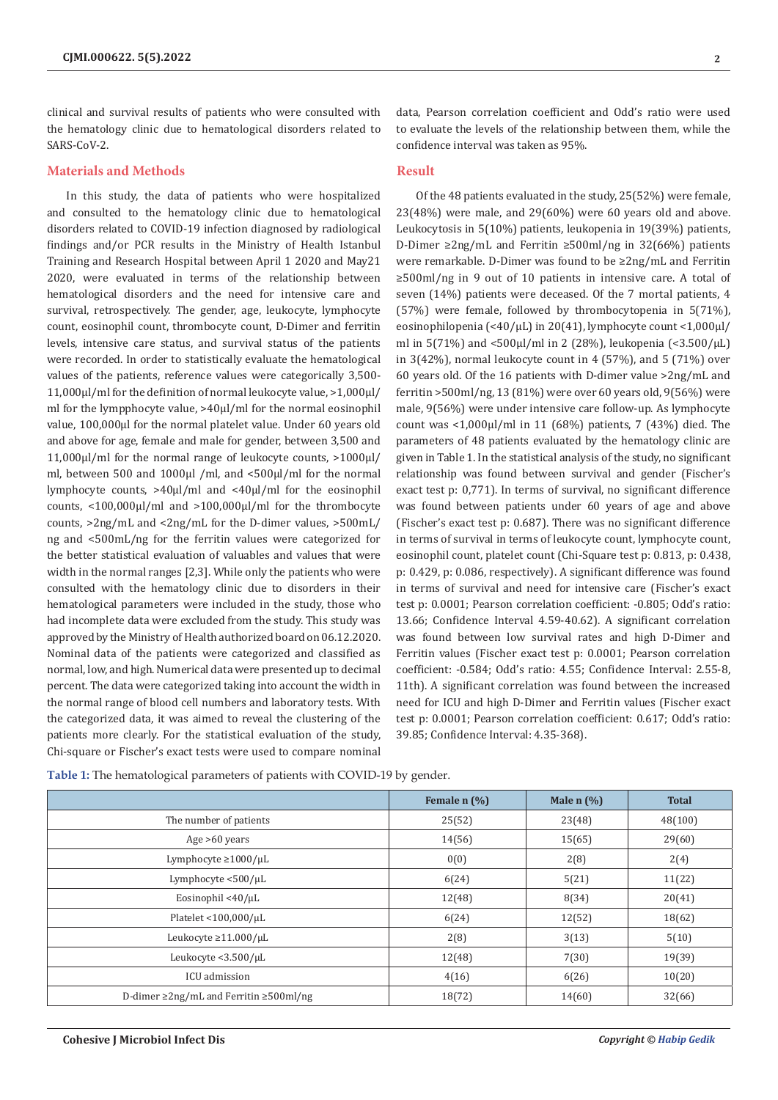clinical and survival results of patients who were consulted with the hematology clinic due to hematological disorders related to SARS-CoV-2.

#### **Materials and Methods**

In this study, the data of patients who were hospitalized and consulted to the hematology clinic due to hematological disorders related to COVID-19 infection diagnosed by radiological findings and/or PCR results in the Ministry of Health Istanbul Training and Research Hospital between April 1 2020 and May21 2020, were evaluated in terms of the relationship between hematological disorders and the need for intensive care and survival, retrospectively. The gender, age, leukocyte, lymphocyte count, eosinophil count, thrombocyte count, D-Dimer and ferritin levels, intensive care status, and survival status of the patients were recorded. In order to statistically evaluate the hematological values of the patients, reference values were categorically 3,500- 11,000µl/ml for the definition of normal leukocyte value, >1,000µl/ ml for the lympphocyte value, >40µl/ml for the normal eosinophil value, 100,000µl for the normal platelet value. Under 60 years old and above for age, female and male for gender, between 3,500 and 11,000µl/ml for the normal range of leukocyte counts, >1000µl/ ml, between 500 and 1000µl /ml, and <500µl/ml for the normal lymphocyte counts, >40µl/ml and <40µl/ml for the eosinophil counts, <100,000µl/ml and >100,000µl/ml for the thrombocyte counts, >2ng/mL and <2ng/mL for the D-dimer values, >500mL/ ng and <500mL/ng for the ferritin values were categorized for the better statistical evaluation of valuables and values that were width in the normal ranges [2,3]. While only the patients who were consulted with the hematology clinic due to disorders in their hematological parameters were included in the study, those who had incomplete data were excluded from the study. This study was approved by the Ministry of Health authorized board on 06.12.2020. Nominal data of the patients were categorized and classified as normal, low, and high. Numerical data were presented up to decimal percent. The data were categorized taking into account the width in the normal range of blood cell numbers and laboratory tests. With the categorized data, it was aimed to reveal the clustering of the patients more clearly. For the statistical evaluation of the study, Chi-square or Fischer's exact tests were used to compare nominal

data, Pearson correlation coefficient and Odd's ratio were used to evaluate the levels of the relationship between them, while the confidence interval was taken as 95%.

## **Result**

Of the 48 patients evaluated in the study, 25(52%) were female,  $23(48%)$  were male, and  $29(60%)$  were 60 years old and above. Leukocytosis in 5(10%) patients, leukopenia in 19(39%) patients, D-Dimer ≥2ng/mL and Ferritin ≥500ml/ng in 32(66%) patients were remarkable. D-Dimer was found to be ≥2ng/mL and Ferritin ≥500ml/ng in 9 out of 10 patients in intensive care. A total of seven (14%) patients were deceased. Of the 7 mortal patients, 4 (57%) were female, followed by thrombocytopenia in 5(71%), eosinophilopenia (<40/µL) in 20(41), lymphocyte count <1,000µl/ ml in 5(71%) and <500 $\mu$ l/ml in 2 (28%), leukopenia (<3.500/ $\mu$ L) in 3(42%), normal leukocyte count in 4 (57%), and 5 (71%) over 60 years old. Of the 16 patients with D-dimer value >2ng/mL and ferritin >500ml/ng, 13 (81%) were over 60 years old, 9(56%) were male, 9(56%) were under intensive care follow-up. As lymphocyte count was <1,000µl/ml in 11 (68%) patients, 7 (43%) died. The parameters of 48 patients evaluated by the hematology clinic are given in Table 1. In the statistical analysis of the study, no significant relationship was found between survival and gender (Fischer's exact test p: 0,771). In terms of survival, no significant difference was found between patients under 60 years of age and above (Fischer's exact test p: 0.687). There was no significant difference in terms of survival in terms of leukocyte count, lymphocyte count, eosinophil count, platelet count (Chi-Square test p: 0.813, p: 0.438, p: 0.429, p: 0.086, respectively). A significant difference was found in terms of survival and need for intensive care (Fischer's exact test p: 0.0001; Pearson correlation coefficient: -0.805; Odd's ratio: 13.66; Confidence Interval 4.59-40.62). A significant correlation was found between low survival rates and high D-Dimer and Ferritin values (Fischer exact test p: 0.0001; Pearson correlation coefficient: -0.584; Odd's ratio: 4.55; Confidence Interval: 2.55-8, 11th). A significant correlation was found between the increased need for ICU and high D-Dimer and Ferritin values (Fischer exact test p: 0.0001; Pearson correlation coefficient: 0.617; Odd's ratio: 39.85; Confidence Interval: 4.35-368).

|                                                    | Female n (%) | Male $n$ $\left(\frac{9}{6}\right)$ | <b>Total</b> |
|----------------------------------------------------|--------------|-------------------------------------|--------------|
| The number of patients                             | 25(52)       | 23(48)                              | 48(100)      |
| Age $>60$ years                                    | 14(56)       | 15(65)                              | 29(60)       |
| Lymphocyte $\geq$ 1000/ $\mu$ L                    | 0(0)         | 2(8)                                | 2(4)         |
| Lymphocyte $<$ 500/ $\mu$ L                        | 6(24)        | 5(21)                               | 11(22)       |
| Eosinophil <40/ $\mu$ L                            | 12(48)       | 8(34)                               | 20(41)       |
| Platelet <100,000/uL                               | 6(24)        | 12(52)                              | 18(62)       |
| Leukocyte $\geq$ 11.000/µL                         | 2(8)         | 3(13)                               | 5(10)        |
| Leukocyte <3.500/µL                                | 12(48)       | 7(30)                               | 19(39)       |
| ICU admission                                      | 4(16)        | 6(26)                               | 10(20)       |
| D-dimer $\geq$ 2ng/mL and Ferritin $\geq$ 500ml/ng | 18(72)       | 14(60)                              | 32(66)       |

**Table 1:** The hematological parameters of patients with COVID-19 by gender.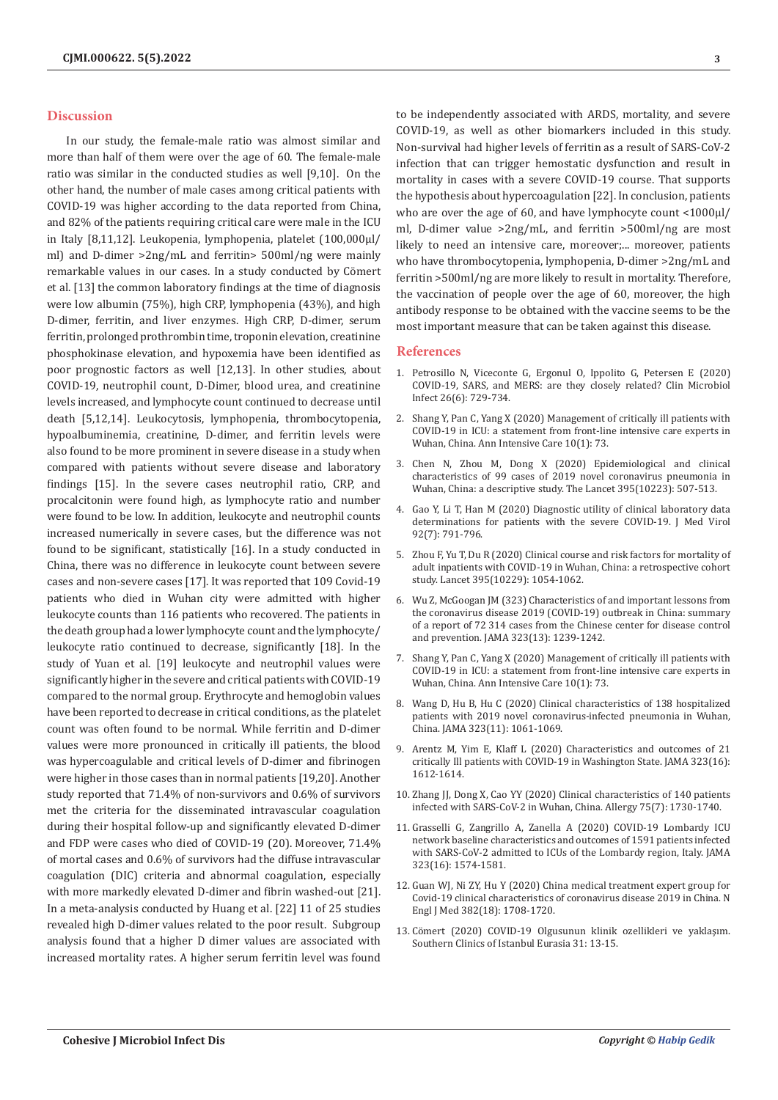#### **Discussion**

In our study, the female-male ratio was almost similar and more than half of them were over the age of 60. The female-male ratio was similar in the conducted studies as well [9,10]. On the other hand, the number of male cases among critical patients with COVID-19 was higher according to the data reported from China, and 82% of the patients requiring critical care were male in the ICU in Italy [8,11,12]. Leukopenia, lymphopenia, platelet (100,000µl/ ml) and D-dimer >2ng/mL and ferritin> 500ml/ng were mainly remarkable values in our cases. In a study conducted by Cömert et al. [13] the common laboratory findings at the time of diagnosis were low albumin (75%), high CRP, lymphopenia (43%), and high D-dimer, ferritin, and liver enzymes. High CRP, D-dimer, serum ferritin, prolonged prothrombin time, troponin elevation, creatinine phosphokinase elevation, and hypoxemia have been identified as poor prognostic factors as well [12,13]. In other studies, about COVID-19, neutrophil count, D-Dimer, blood urea, and creatinine levels increased, and lymphocyte count continued to decrease until death [5,12,14]. Leukocytosis, lymphopenia, thrombocytopenia, hypoalbuminemia, creatinine, D-dimer, and ferritin levels were also found to be more prominent in severe disease in a study when compared with patients without severe disease and laboratory findings [15]. In the severe cases neutrophil ratio, CRP, and procalcitonin were found high, as lymphocyte ratio and number were found to be low. In addition, leukocyte and neutrophil counts increased numerically in severe cases, but the difference was not found to be significant, statistically [16]. In a study conducted in China, there was no difference in leukocyte count between severe cases and non-severe cases [17]. It was reported that 109 Covid-19 patients who died in Wuhan city were admitted with higher leukocyte counts than 116 patients who recovered. The patients in the death group had a lower lymphocyte count and the lymphocyte/ leukocyte ratio continued to decrease, significantly [18]. In the study of Yuan et al. [19] leukocyte and neutrophil values were significantly higher in the severe and critical patients with COVID-19 compared to the normal group. Erythrocyte and hemoglobin values have been reported to decrease in critical conditions, as the platelet count was often found to be normal. While ferritin and D-dimer values were more pronounced in critically ill patients, the blood was hypercoagulable and critical levels of D-dimer and fibrinogen were higher in those cases than in normal patients [19,20]. Another study reported that 71.4% of non-survivors and 0.6% of survivors met the criteria for the disseminated intravascular coagulation during their hospital follow-up and significantly elevated D-dimer and FDP were cases who died of COVID-19 (20). Moreover, 71.4% of mortal cases and 0.6% of survivors had the diffuse intravascular coagulation (DIC) criteria and abnormal coagulation, especially with more markedly elevated D-dimer and fibrin washed-out [21]. In a meta-analysis conducted by Huang et al. [22] 11 of 25 studies revealed high D-dimer values related to the poor result. Subgroup analysis found that a higher D dimer values are associated with increased mortality rates. A higher serum ferritin level was found

to be independently associated with ARDS, mortality, and severe COVID-19, as well as other biomarkers included in this study. Non-survival had higher levels of ferritin as a result of SARS-CoV-2 infection that can trigger hemostatic dysfunction and result in mortality in cases with a severe COVID-19 course. That supports the hypothesis about hypercoagulation [22]. In conclusion, patients who are over the age of 60, and have lymphocyte count <1000µl/ ml, D-dimer value >2ng/mL, and ferritin >500ml/ng are most likely to need an intensive care, moreover;... moreover, patients who have thrombocytopenia, lymphopenia, D-dimer >2ng/mL and ferritin >500ml/ng are more likely to result in mortality. Therefore, the vaccination of people over the age of 60, moreover, the high antibody response to be obtained with the vaccine seems to be the most important measure that can be taken against this disease.

#### **References**

- 1. [Petrosillo N, Viceconte G, Ergonul O, Ippolito G, Petersen E \(2020\)](https://pubmed.ncbi.nlm.nih.gov/32234451/) [COVID-19, SARS, and MERS: are they closely related? Clin Microbiol](https://pubmed.ncbi.nlm.nih.gov/32234451/) [Infect 26\(6\): 729-734.](https://pubmed.ncbi.nlm.nih.gov/32234451/)
- 2. [Shang Y, Pan C, Yang X \(2020\) Management of critically ill patients with](https://pubmed.ncbi.nlm.nih.gov/32506258/) [COVID-19 in ICU: a statement from front-line intensive care experts in](https://pubmed.ncbi.nlm.nih.gov/32506258/) [Wuhan, China. Ann Intensive Care 10\(1\): 73.](https://pubmed.ncbi.nlm.nih.gov/32506258/)
- 3. [Chen N, Zhou M, Dong X \(2020\) Epidemiological and clinical](https://pubmed.ncbi.nlm.nih.gov/32007143/) [characteristics of 99 cases of 2019 novel coronavirus pneumonia in](https://pubmed.ncbi.nlm.nih.gov/32007143/) [Wuhan, China: a descriptive study. The Lancet 395\(10223\): 507-513.](https://pubmed.ncbi.nlm.nih.gov/32007143/)
- 4. [Gao Y, Li T, Han M \(2020\) Diagnostic utility of clinical laboratory data](https://pubmed.ncbi.nlm.nih.gov/32181911/) [determinations for patients with the severe COVID-19. J Med Virol](https://pubmed.ncbi.nlm.nih.gov/32181911/) [92\(7\): 791-796.](https://pubmed.ncbi.nlm.nih.gov/32181911/)
- 5. [Zhou F, Yu T, Du R \(2020\) Clinical course and risk factors for mortality of](https://pubmed.ncbi.nlm.nih.gov/32171076/) [adult inpatients with COVID-19 in Wuhan, China: a retrospective cohort](https://pubmed.ncbi.nlm.nih.gov/32171076/) [study. Lancet 395\(10229\): 1054-1062.](https://pubmed.ncbi.nlm.nih.gov/32171076/)
- 6. [Wu Z, McGoogan JM \(323\) Characteristics of and important lessons from](https://pubmed.ncbi.nlm.nih.gov/32091533/) [the coronavirus disease 2019 \(COVID-19\) outbreak in China: summary](https://pubmed.ncbi.nlm.nih.gov/32091533/) [of a report of 72 314 cases from the Chinese center for disease control](https://pubmed.ncbi.nlm.nih.gov/32091533/) [and prevention. JAMA 323\(13\): 1239-1242.](https://pubmed.ncbi.nlm.nih.gov/32091533/)
- 7. [Shang Y, Pan C, Yang X \(2020\) Management of critically ill patients with](https://pubmed.ncbi.nlm.nih.gov/32506258/) [COVID-19 in ICU: a statement from front-line intensive care experts in](https://pubmed.ncbi.nlm.nih.gov/32506258/) [Wuhan, China. Ann Intensive Care 10\(1\): 73.](https://pubmed.ncbi.nlm.nih.gov/32506258/)
- 8. [Wang D, Hu B, Hu C \(2020\) Clinical characteristics of 138 hospitalized](https://pubmed.ncbi.nlm.nih.gov/32031570/) [patients with 2019 novel coronavirus-infected pneumonia in Wuhan,](https://pubmed.ncbi.nlm.nih.gov/32031570/) [China. JAMA 323\(11\): 1061-1069.](https://pubmed.ncbi.nlm.nih.gov/32031570/)
- 9. [Arentz M, Yim E, Klaff L \(2020\) Characteristics and outcomes of 21](https://pubmed.ncbi.nlm.nih.gov/32191259/) [critically Ill patients with COVID-19 in Washington State. JAMA 323\(16\):](https://pubmed.ncbi.nlm.nih.gov/32191259/) [1612-1614.](https://pubmed.ncbi.nlm.nih.gov/32191259/)
- 10. [Zhang JJ, Dong X, Cao YY \(2020\) Clinical characteristics of 140 patients](https://pubmed.ncbi.nlm.nih.gov/32077115/) [infected with SARS-CoV-2 in Wuhan, China. Allergy 75\(7\): 1730-1740.](https://pubmed.ncbi.nlm.nih.gov/32077115/)
- 11. Grasselli G, Zangrillo A, Zanella A (2020) COVID-19 Lombardy ICU network baseline characteristics and outcomes of 1591 patients infected with SARS-CoV-2 admitted to ICUs of the Lombardy region, Italy. JAMA 323(16): 1574-1581.
- 12. Guan WJ, Ni ZY, Hu Y (2020) China medical treatment expert group for Covid-19 clinical characteristics of coronavirus disease 2019 in China. N Engl J Med 382(18): 1708-1720.
- 13. [Cömert \(2020\) COVID-19 Olgusunun klinik ozellikleri ve yaklaşım.](https://jag.journalagent.com/scie/pdfs/SCIE-73645-REVIEW-SENER_COMERT.pdf) [Southern Clinics of Istanbul Eurasia 31: 13-15.](https://jag.journalagent.com/scie/pdfs/SCIE-73645-REVIEW-SENER_COMERT.pdf)